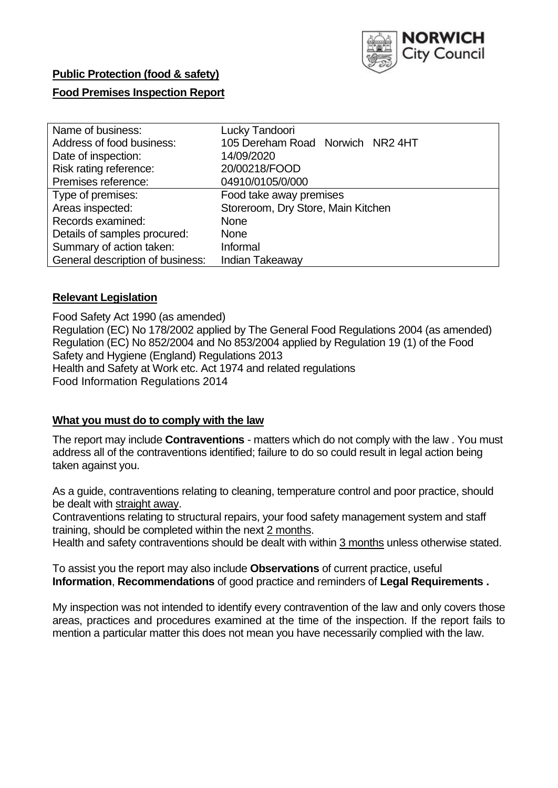

# **Public Protection (food & safety)**

#### **Food Premises Inspection Report**

| Name of business:                | Lucky Tandoori                     |  |  |  |  |  |
|----------------------------------|------------------------------------|--|--|--|--|--|
| Address of food business:        | 105 Dereham Road Norwich NR2 4HT   |  |  |  |  |  |
| Date of inspection:              | 14/09/2020                         |  |  |  |  |  |
| Risk rating reference:           | 20/00218/FOOD                      |  |  |  |  |  |
| Premises reference:              | 04910/0105/0/000                   |  |  |  |  |  |
| Type of premises:                | Food take away premises            |  |  |  |  |  |
| Areas inspected:                 | Storeroom, Dry Store, Main Kitchen |  |  |  |  |  |
| Records examined:                | None                               |  |  |  |  |  |
| Details of samples procured:     | <b>None</b>                        |  |  |  |  |  |
| Summary of action taken:         | Informal                           |  |  |  |  |  |
| General description of business: | Indian Takeaway                    |  |  |  |  |  |

#### **Relevant Legislation**

 Food Safety Act 1990 (as amended) Regulation (EC) No 178/2002 applied by The General Food Regulations 2004 (as amended) Regulation (EC) No 852/2004 and No 853/2004 applied by Regulation 19 (1) of the Food Safety and Hygiene (England) Regulations 2013 Health and Safety at Work etc. Act 1974 and related regulations Food Information Regulations 2014

#### **What you must do to comply with the law**

 The report may include **Contraventions** - matters which do not comply with the law . You must address all of the contraventions identified; failure to do so could result in legal action being taken against you.

 As a guide, contraventions relating to cleaning, temperature control and poor practice, should be dealt with straight away.

 Contraventions relating to structural repairs, your food safety management system and staff training, should be completed within the next 2 months.

Health and safety contraventions should be dealt with within 3 months unless otherwise stated.

 To assist you the report may also include **Observations** of current practice, useful **Information**, **Recommendations** of good practice and reminders of **Legal Requirements .** 

 My inspection was not intended to identify every contravention of the law and only covers those areas, practices and procedures examined at the time of the inspection. If the report fails to mention a particular matter this does not mean you have necessarily complied with the law.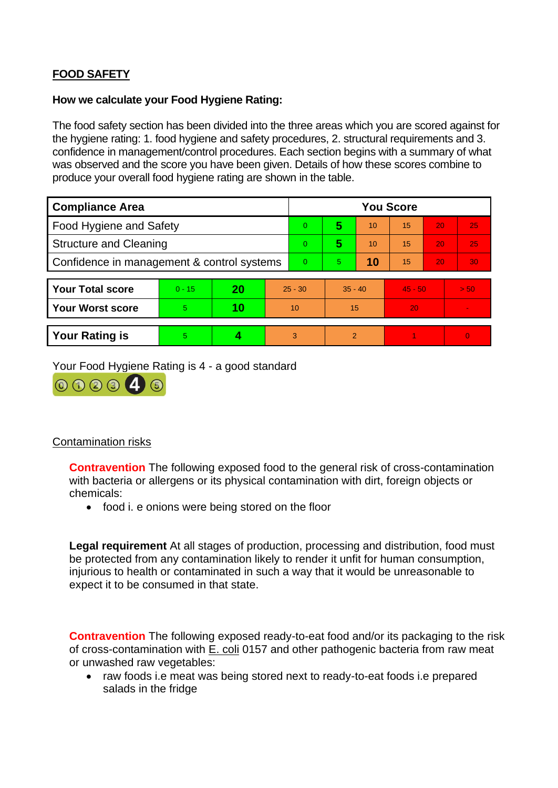# **FOOD SAFETY**

#### **How we calculate your Food Hygiene Rating:**

 The food safety section has been divided into the three areas which you are scored against for the hygiene rating: 1. food hygiene and safety procedures, 2. structural requirements and 3. confidence in management/control procedures. Each section begins with a summary of what was observed and the score you have been given. Details of how these scores combine to produce your overall food hygiene rating are shown in the table.

| <b>Compliance Area</b>                     |          |    |                 | <b>You Score</b> |                |    |           |    |                |  |  |
|--------------------------------------------|----------|----|-----------------|------------------|----------------|----|-----------|----|----------------|--|--|
| Food Hygiene and Safety                    |          |    |                 | 0                | 5              | 10 | 15        | 20 | 25             |  |  |
| <b>Structure and Cleaning</b>              |          |    |                 | $\Omega$         | 5              | 10 | 15        | 20 | 25             |  |  |
| Confidence in management & control systems |          |    | $\Omega$        | 5                | 10             | 15 | 20        | 30 |                |  |  |
|                                            |          |    |                 |                  |                |    |           |    |                |  |  |
| <b>Your Total score</b>                    | $0 - 15$ | 20 | $25 - 30$       |                  | $35 - 40$      |    | $45 - 50$ |    | > 50           |  |  |
| <b>Your Worst score</b>                    | 5        | 10 | 10 <sup>°</sup> |                  | 15             |    | 20        |    | $\blacksquare$ |  |  |
|                                            |          |    |                 |                  |                |    |           |    |                |  |  |
| <b>Your Rating is</b>                      | 5        |    |                 | 3                | $\overline{2}$ |    |           |    | $\Omega$       |  |  |

Your Food Hygiene Rating is 4 - a good standard



# Contamination risks

 **Contravention** The following exposed food to the general risk of cross-contamination with bacteria or allergens or its physical contamination with dirt, foreign objects or chemicals:

• food i. e onions were being stored on the floor

 injurious to health or contaminated in such a way that it would be unreasonable to **Legal requirement** At all stages of production, processing and distribution, food must be protected from any contamination likely to render it unfit for human consumption, expect it to be consumed in that state.

of cross-contamination with E. coli 0157 and other pathogenic bacteria from raw meat **Contravention** The following exposed ready-to-eat food and/or its packaging to the risk or unwashed raw vegetables:

• raw foods i.e meat was being stored next to ready-to-eat foods i.e prepared salads in the fridge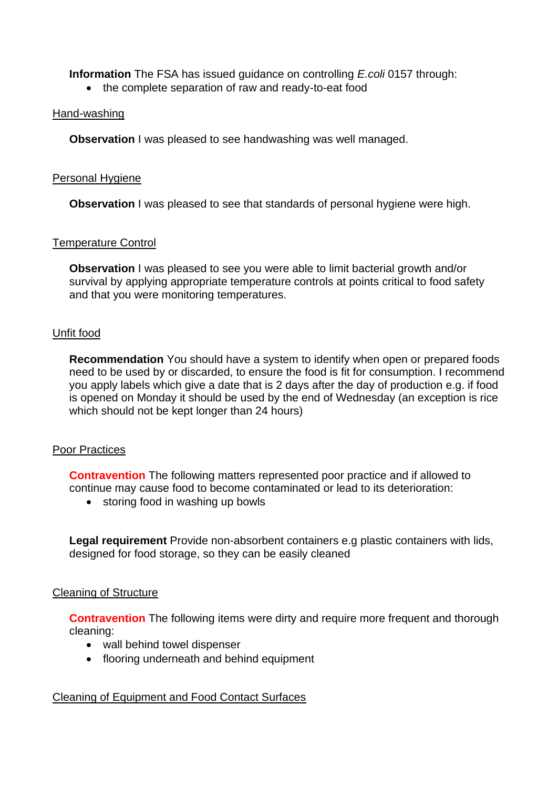**Information** The FSA has issued guidance on controlling *E.coli* 0157 through:

• the complete separation of raw and ready-to-eat food

# Hand-washing

**Observation** I was pleased to see handwashing was well managed.

# Personal Hygiene

**Observation** I was pleased to see that standards of personal hygiene were high.

# Temperature Control

**Observation** I was pleased to see you were able to limit bacterial growth and/or survival by applying appropriate temperature controls at points critical to food safety and that you were monitoring temperatures.

# Unfit food

**Recommendation** You should have a system to identify when open or prepared foods need to be used by or discarded, to ensure the food is fit for consumption. I recommend you apply labels which give a date that is 2 days after the day of production e.g. if food is opened on Monday it should be used by the end of Wednesday (an exception is rice which should not be kept longer than 24 hours)

# Poor Practices

 **Contravention** The following matters represented poor practice and if allowed to continue may cause food to become contaminated or lead to its deterioration:

• storing food in washing up bowls

**Legal requirement** Provide non-absorbent containers e.g plastic containers with lids, designed for food storage, so they can be easily cleaned

#### Cleaning of Structure

**Contravention** The following items were dirty and require more frequent and thorough cleaning:

- wall behind towel dispenser
- flooring underneath and behind equipment

# Cleaning of Equipment and Food Contact Surfaces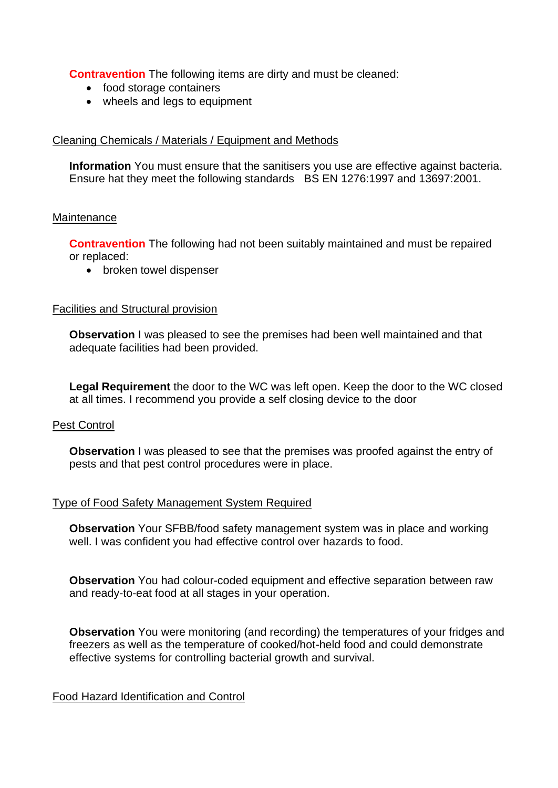**Contravention** The following items are dirty and must be cleaned:

- food storage containers
- wheels and legs to equipment

# Cleaning Chemicals / Materials / Equipment and Methods

 **Information** You must ensure that the sanitisers you use are effective against bacteria. Ensure hat they meet the following standards BS EN 1276:1997 and 13697:2001.

#### **Maintenance**

**Contravention** The following had not been suitably maintained and must be repaired or replaced:

• broken towel dispenser

#### Facilities and Structural provision

 **Observation** I was pleased to see the premises had been well maintained and that adequate facilities had been provided.

 **Legal Requirement** the door to the WC was left open. Keep the door to the WC closed at all times. I recommend you provide a self closing device to the door

#### Pest Control

**Observation** I was pleased to see that the premises was proofed against the entry of pests and that pest control procedures were in place.

# Type of Food Safety Management System Required

**Observation** Your SFBB/food safety management system was in place and working well. I was confident you had effective control over hazards to food.

**Observation** You had colour-coded equipment and effective separation between raw and ready-to-eat food at all stages in your operation.

**Observation** You were monitoring (and recording) the temperatures of your fridges and freezers as well as the temperature of cooked/hot-held food and could demonstrate effective systems for controlling bacterial growth and survival.

# Food Hazard Identification and Control